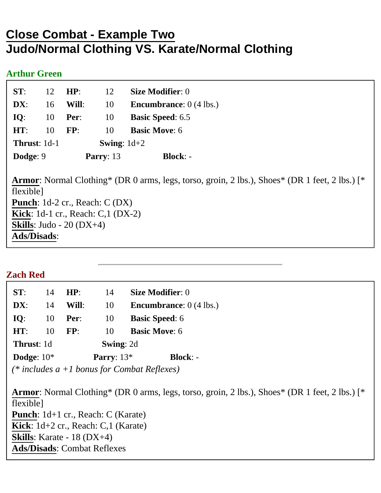# **Close Combat - Example Two Judo/Normal Clothing VS. Karate/Normal Clothing**

#### **Arthur Green**

| Dodge: 9            |    |                      | Parry: $13$ | <b>Block:</b> -                         |
|---------------------|----|----------------------|-------------|-----------------------------------------|
| <b>Thrust: 1d-1</b> |    | <b>Swing:</b> $1d+2$ |             |                                         |
| HT:                 | 10 | FP:                  | 10          | <b>Basic Move: 6</b>                    |
| IO:                 | 10 | Per:                 | 10          | <b>Basic Speed: 6.5</b>                 |
| DX:                 | 16 | Will:                | 10          | <b>Encumbrance:</b> $0(4 \text{ lbs.})$ |
| ST:                 | 12 | HP:                  | 12          | <b>Size Modifier: 0</b>                 |
|                     |    |                      |             |                                         |

**Armor**: Normal Clothing\* (DR 0 arms, legs, torso, groin, 2 lbs.), Shoes\* (DR 1 feet, 2 lbs.) [\* flexible] **Punch**: 1d-2 cr., Reach: C (DX) **Kick**: 1d-1 cr., Reach: C,1 (DX-2) **Skills**: Judo - 20 (DX+4) **Ads/Disads**:

# **Zach Red**

| ST:               | 14 | HP:          | 14               | <b>Size Modifier: 0</b>           |
|-------------------|----|--------------|------------------|-----------------------------------|
| DX:               | 14 | Will:        | 10               | <b>Encumbrance</b> : $0$ (4 lbs.) |
| IO:               | 10 | Per:         | 10               | <b>Basic Speed: 6</b>             |
| HT:               | 10 | FP:          | 10               | <b>Basic Move: 6</b>              |
| <b>Thrust: 1d</b> |    |              | <b>Swing: 2d</b> |                                   |
| Dodge: $10*$      |    | Parry: $13*$ |                  | <b>Block: -</b>                   |
|                   |    |              |                  |                                   |

*(\* includes a +1 bonus for Combat Reflexes)*

**Armor**: Normal Clothing\* (DR 0 arms, legs, torso, groin, 2 lbs.), Shoes\* (DR 1 feet, 2 lbs.) [\* flexible] **Punch**: 1d+1 cr., Reach: C (Karate) **Kick**: 1d+2 cr., Reach: C,1 (Karate) **Skills**: Karate - 18 (DX+4) **Ads/Disads**: Combat Reflexes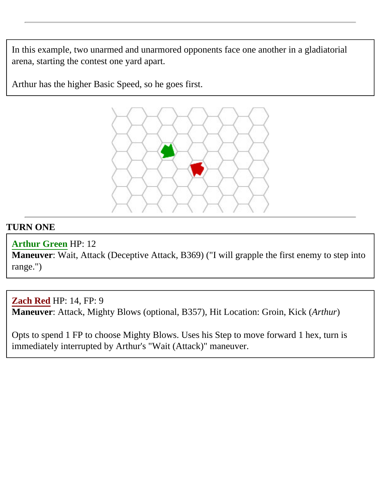In this example, two unarmed and unarmored opponents face one another in a gladiatorial arena, starting the contest one yard apart.

Arthur has the higher Basic Speed, so he goes first.



# **TURN ONE**

# **Arthur Green** HP: 12

**Maneuver**: Wait, Attack (Deceptive Attack, B369) ("I will grapple the first enemy to step into range.")

**Zach Red** HP: 14, FP: 9 **Maneuver**: Attack, Mighty Blows (optional, B357), Hit Location: Groin, Kick (*Arthur*)

Opts to spend 1 FP to choose Mighty Blows. Uses his Step to move forward 1 hex, turn is immediately interrupted by Arthur's "Wait (Attack)" maneuver.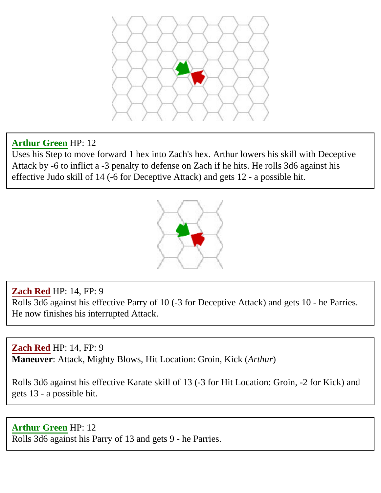

# **Arthur Green** HP: 12

Uses his Step to move forward 1 hex into Zach's hex. Arthur lowers his skill with Deceptive Attack by -6 to inflict a -3 penalty to defense on Zach if he hits. He rolls 3d6 against his effective Judo skill of 14 (-6 for Deceptive Attack) and gets 12 - a possible hit.



# **Zach Red** HP: 14, FP: 9

Rolls 3d6 against his effective Parry of 10 (-3 for Deceptive Attack) and gets 10 - he Parries. He now finishes his interrupted Attack.

**Zach Red** HP: 14, FP: 9 **Maneuver**: Attack, Mighty Blows, Hit Location: Groin, Kick (*Arthur*)

Rolls 3d6 against his effective Karate skill of 13 (-3 for Hit Location: Groin, -2 for Kick) and gets 13 - a possible hit.

**Arthur Green** HP: 12 Rolls 3d6 against his Parry of 13 and gets 9 - he Parries.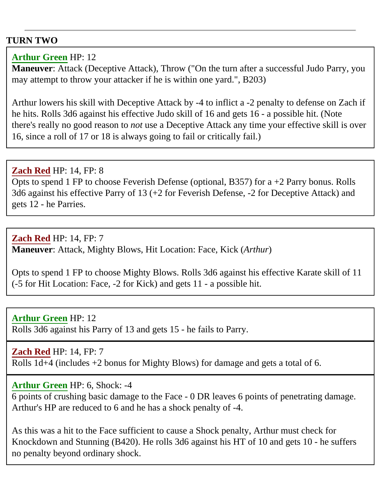#### **TURN TWO**

#### **Arthur Green** HP: 12

**Maneuver**: Attack (Deceptive Attack), Throw ("On the turn after a successful Judo Parry, you may attempt to throw your attacker if he is within one yard.", B203)

Arthur lowers his skill with Deceptive Attack by -4 to inflict a -2 penalty to defense on Zach if he hits. Rolls 3d6 against his effective Judo skill of 16 and gets 16 - a possible hit. (Note there's really no good reason to *not* use a Deceptive Attack any time your effective skill is over 16, since a roll of 17 or 18 is always going to fail or critically fail.)

# **Zach Red** HP: 14, FP: 8 Opts to spend 1 FP to choose Feverish Defense (optional, B357) for a  $+2$  Parry bonus. Rolls 3d6 against his effective Parry of 13 (+2 for Feverish Defense, -2 for Deceptive Attack) and gets 12 - he Parries.

**Zach Red** HP: 14, FP: 7 **Maneuver**: Attack, Mighty Blows, Hit Location: Face, Kick (*Arthur*)

Opts to spend 1 FP to choose Mighty Blows. Rolls 3d6 against his effective Karate skill of 11 (-5 for Hit Location: Face, -2 for Kick) and gets 11 - a possible hit.

**Arthur Green** HP: 12 Rolls 3d6 against his Parry of 13 and gets 15 - he fails to Parry.

#### **Zach Red** HP: 14, FP: 7

Rolls 1d+4 (includes +2 bonus for Mighty Blows) for damage and gets a total of 6.

#### **Arthur Green** HP: 6, Shock: -4

6 points of crushing basic damage to the Face - 0 DR leaves 6 points of penetrating damage. Arthur's HP are reduced to 6 and he has a shock penalty of -4.

As this was a hit to the Face sufficient to cause a Shock penalty, Arthur must check for Knockdown and Stunning (B420). He rolls 3d6 against his HT of 10 and gets 10 - he suffers no penalty beyond ordinary shock.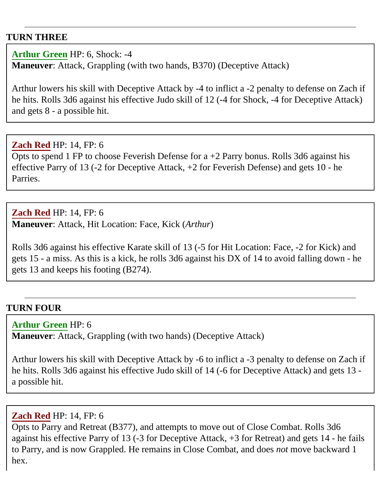#### **TURN THREE**

**Arthur Green** HP: 6, Shock: -4 **Maneuver**: Attack, Grappling (with two hands, B370) (Deceptive Attack)

Arthur lowers his skill with Deceptive Attack by -4 to inflict a -2 penalty to defense on Zach if he hits. Rolls 3d6 against his effective Judo skill of 12 (-4 for Shock, -4 for Deceptive Attack) and gets 8 - a possible hit.

**Zach Red** HP: 14, FP: 6 Opts to spend 1 FP to choose Feverish Defense for  $a + 2$  Parry bonus. Rolls 3d6 against his effective Parry of 13 (-2 for Deceptive Attack, +2 for Feverish Defense) and gets 10 - he Parries.

**Zach Red** HP: 14, FP: 6 **Maneuver**: Attack, Hit Location: Face, Kick (*Arthur*)

Rolls 3d6 against his effective Karate skill of 13 (-5 for Hit Location: Face, -2 for Kick) and gets 15 - a miss. As this is a kick, he rolls 3d6 against his DX of 14 to avoid falling down - he gets 13 and keeps his footing (B274).

# **TURN FOUR**

#### **Arthur Green** HP: 6

**Maneuver**: Attack, Grappling (with two hands) (Deceptive Attack)

Arthur lowers his skill with Deceptive Attack by -6 to inflict a -3 penalty to defense on Zach if he hits. Rolls 3d6 against his effective Judo skill of 14 (-6 for Deceptive Attack) and gets 13 a possible hit.

#### **Zach Red** HP: 14, FP: 6

Opts to Parry and Retreat (B377), and attempts to move out of Close Combat. Rolls 3d6 against his effective Parry of 13 (-3 for Deceptive Attack, +3 for Retreat) and gets 14 - he fails to Parry, and is now Grappled. He remains in Close Combat, and does *not* move backward 1 hex.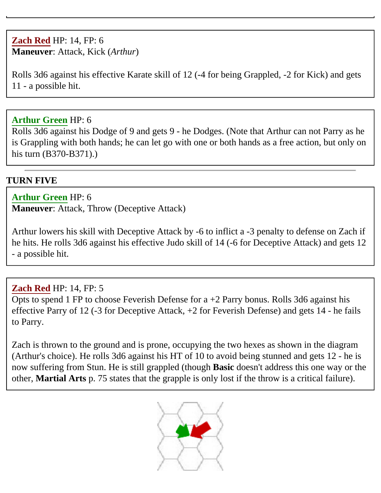# **Zach Red** HP: 14, FP: 6 **Maneuver**: Attack, Kick (*Arthur*)

Rolls 3d6 against his effective Karate skill of 12 (-4 for being Grappled, -2 for Kick) and gets 11 - a possible hit.

#### **Arthur Green** HP: 6

Rolls 3d6 against his Dodge of 9 and gets 9 - he Dodges. (Note that Arthur can not Parry as he is Grappling with both hands; he can let go with one or both hands as a free action, but only on his turn (B370-B371).)

# **TURN FIVE**

# **Arthur Green** HP: 6

**Maneuver**: Attack, Throw (Deceptive Attack)

Arthur lowers his skill with Deceptive Attack by -6 to inflict a -3 penalty to defense on Zach if he hits. He rolls 3d6 against his effective Judo skill of 14 (-6 for Deceptive Attack) and gets 12 - a possible hit.

# **Zach Red** HP: 14, FP: 5

Opts to spend 1 FP to choose Feverish Defense for  $a + 2$  Parry bonus. Rolls 3d6 against his effective Parry of 12 (-3 for Deceptive Attack, +2 for Feverish Defense) and gets 14 - he fails to Parry.

Zach is thrown to the ground and is prone, occupying the two hexes as shown in the diagram (Arthur's choice). He rolls 3d6 against his HT of 10 to avoid being stunned and gets 12 - he is now suffering from Stun. He is still grappled (though **Basic** doesn't address this one way or the other, **Martial Arts** p. 75 states that the grapple is only lost if the throw is a critical failure).

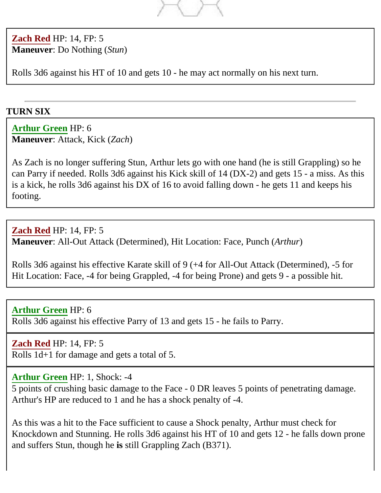

**Zach Red** HP: 14, FP: 5 **Maneuver**: Do Nothing (*Stun*)

Rolls 3d6 against his HT of 10 and gets 10 - he may act normally on his next turn.

# **TURN SIX**

**Arthur Green** HP: 6 **Maneuver**: Attack, Kick (*Zach*)

As Zach is no longer suffering Stun, Arthur lets go with one hand (he is still Grappling) so he can Parry if needed. Rolls 3d6 against his Kick skill of 14 (DX-2) and gets 15 - a miss. As this is a kick, he rolls 3d6 against his DX of 16 to avoid falling down - he gets 11 and keeps his footing.

**Zach Red** HP: 14, FP: 5 **Maneuver**: All-Out Attack (Determined), Hit Location: Face, Punch (*Arthur*)

Rolls 3d6 against his effective Karate skill of 9 (+4 for All-Out Attack (Determined), -5 for Hit Location: Face, -4 for being Grappled, -4 for being Prone) and gets 9 - a possible hit.

**Arthur Green** HP: 6 Rolls 3d6 against his effective Parry of 13 and gets 15 - he fails to Parry.

**Zach Red** HP: 14, FP: 5 Rolls 1d+1 for damage and gets a total of 5.

# **Arthur Green** HP: 1, Shock: -4

5 points of crushing basic damage to the Face - 0 DR leaves 5 points of penetrating damage. Arthur's HP are reduced to 1 and he has a shock penalty of -4.

As this was a hit to the Face sufficient to cause a Shock penalty, Arthur must check for Knockdown and Stunning. He rolls 3d6 against his HT of 10 and gets 12 - he falls down prone and suffers Stun, though he **is** still Grappling Zach (B371).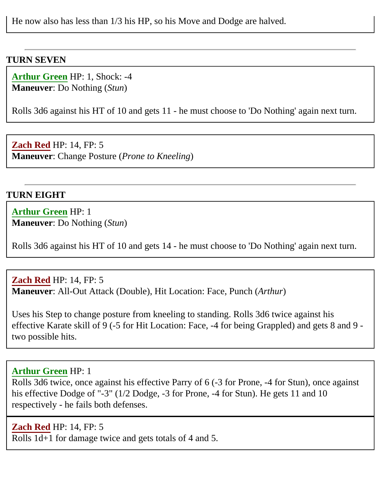He now also has less than 1/3 his HP, so his Move and Dodge are halved.

#### **TURN SEVEN**

**Arthur Green** HP: 1, Shock: -4 **Maneuver**: Do Nothing (*Stun*)

Rolls 3d6 against his HT of 10 and gets 11 - he must choose to 'Do Nothing' again next turn.

**Zach Red** HP: 14, FP: 5 **Maneuver**: Change Posture (*Prone to Kneeling*)

#### **TURN EIGHT**

**Arthur Green** HP: 1 **Maneuver**: Do Nothing (*Stun*)

Rolls 3d6 against his HT of 10 and gets 14 - he must choose to 'Do Nothing' again next turn.

**Zach Red** HP: 14, FP: 5 **Maneuver**: All-Out Attack (Double), Hit Location: Face, Punch (*Arthur*)

Uses his Step to change posture from kneeling to standing. Rolls 3d6 twice against his effective Karate skill of 9 (-5 for Hit Location: Face, -4 for being Grappled) and gets 8 and 9 two possible hits.

#### **Arthur Green** HP: 1

Rolls 3d6 twice, once against his effective Parry of 6 (-3 for Prone, -4 for Stun), once against his effective Dodge of "-3" (1/2 Dodge, -3 for Prone, -4 for Stun). He gets 11 and 10 respectively - he fails both defenses.

**Zach Red** HP: 14, FP: 5 Rolls 1d+1 for damage twice and gets totals of 4 and 5.